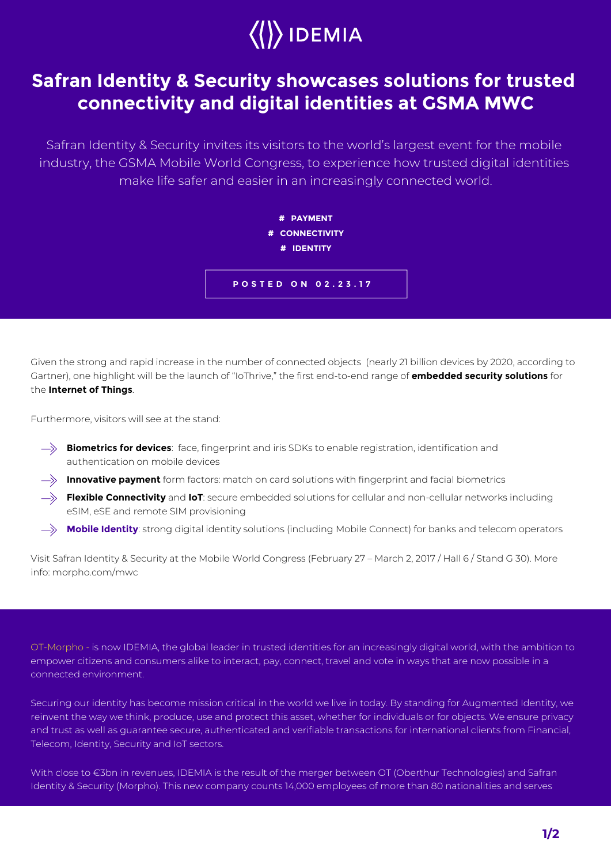

## **Safran Identity & Security showcases solutions for trusted connectivity and digital identities at GSMA MWC**

Safran Identity & Security invites its visitors to the world's largest event for the mobile industry, the GSMA Mobile World Congress, to experience how trusted digital identities make life safer and easier in an increasingly connected world.



Given the strong and rapid increase in the number of connected objects (nearly 21 billion devices by 2020, according to Gartner), one highlight will be the launch of "IoThrive," the first end-to-end range of **embedded security solutions** for the **Internet of Things**.

Furthermore, visitors will see at the stand:

- $\rightarrow$  **Biometrics for devices**: face, fingerprint and iris SDKs to enable registration, identification and authentication on mobile devices
- $\rightarrow$  **Innovative payment** form factors: match on card solutions with fingerprint and facial biometrics
- $\rightarrow$  **Flexible Connectivity** and **IoT**: secure embedded solutions for cellular and non-cellular networks including eSIM, eSE and remote SIM provisioning
- **Mobile Identity**: strong digital identity solutions (including Mobile Connect) for banks and telecom operators

Visit Safran Identity & Security at the Mobile World Congress (February 27 – March 2, 2017 / Hall 6 / Stand G 30). More info: morpho.com/mwc

OT-Morpho - is now IDEMIA, the global leader in trusted identities for an increasingly digital world, with the ambition to empower citizens and consumers alike to interact, pay, connect, travel and vote in ways that are now possible in a connected environment.

Securing our identity has become mission critical in the world we live in today. By standing for Augmented Identity, we reinvent the way we think, produce, use and protect this asset, whether for individuals or for objects. We ensure privacy and trust as well as guarantee secure, authenticated and verifiable transactions for international clients from Financial, Telecom, Identity, Security and IoT sectors.

With close to €3bn in revenues, IDEMIA is the result of the merger between OT (Oberthur Technologies) and Safran Identity & Security (Morpho). This new company counts 14,000 employees of more than 80 nationalities and serves